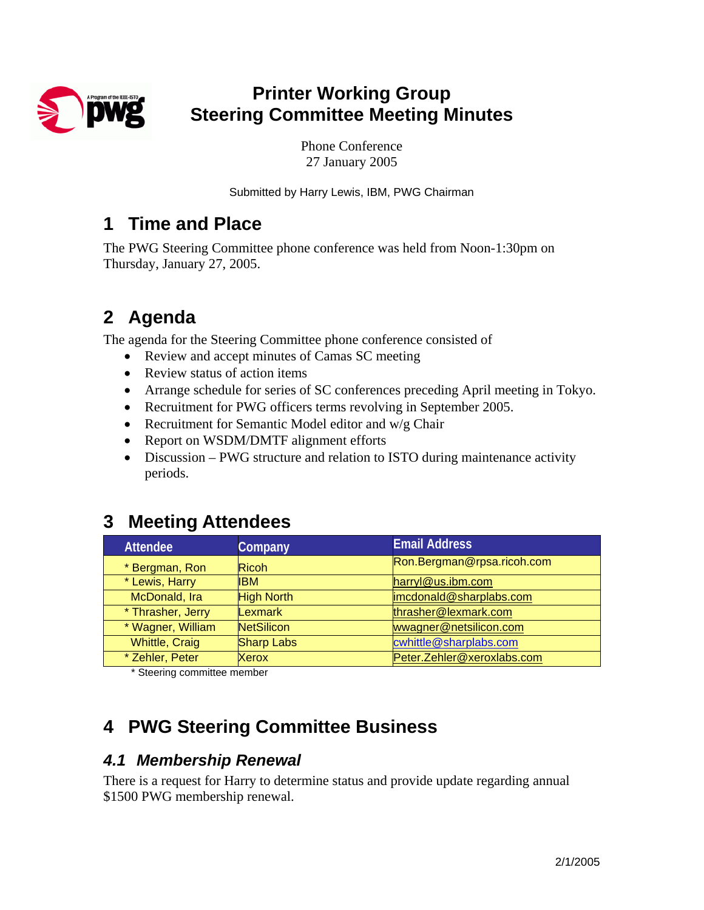

# **Printer Working Group Steering Committee Meeting Minutes**

Phone Conference 27 January 2005

Submitted by Harry Lewis, IBM, PWG Chairman

## **1 Time and Place**

The PWG Steering Committee phone conference was held from Noon-1:30pm on Thursday, January 27, 2005.

# **2 Agenda**

The agenda for the Steering Committee phone conference consisted of

- Review and accept minutes of Camas SC meeting
- Review status of action items
- Arrange schedule for series of SC conferences preceding April meeting in Tokyo.
- Recruitment for PWG officers terms revolving in September 2005.
- Recruitment for Semantic Model editor and w/g Chair
- Report on WSDM/DMTF alignment efforts
- Discussion PWG structure and relation to ISTO during maintenance activity periods.

# **3 Meeting Attendees**

| <b>Attendee</b>       | Company           | <b>Email Address</b>       |
|-----------------------|-------------------|----------------------------|
| * Bergman, Ron        | <b>Ricoh</b>      | Ron.Bergman@rpsa.ricoh.com |
| * Lewis, Harry        | <b>IBM</b>        | harryl@us.ibm.com          |
| McDonald, Ira         | <b>High North</b> | imcdonald@sharplabs.com    |
| * Thrasher, Jerry     | <b>Lexmark</b>    | thrasher@lexmark.com       |
| * Wagner, William     | <b>NetSilicon</b> | wwagner@netsilicon.com     |
| <b>Whittle, Craig</b> | <b>Sharp Labs</b> | cwhittle@sharplabs.com     |
| * Zehler, Peter       | Xerox             | Peter.Zehler@xeroxlabs.com |

\* Steering committee member

# **4 PWG Steering Committee Business**

### *4.1 Membership Renewal*

There is a request for Harry to determine status and provide update regarding annual \$1500 PWG membership renewal.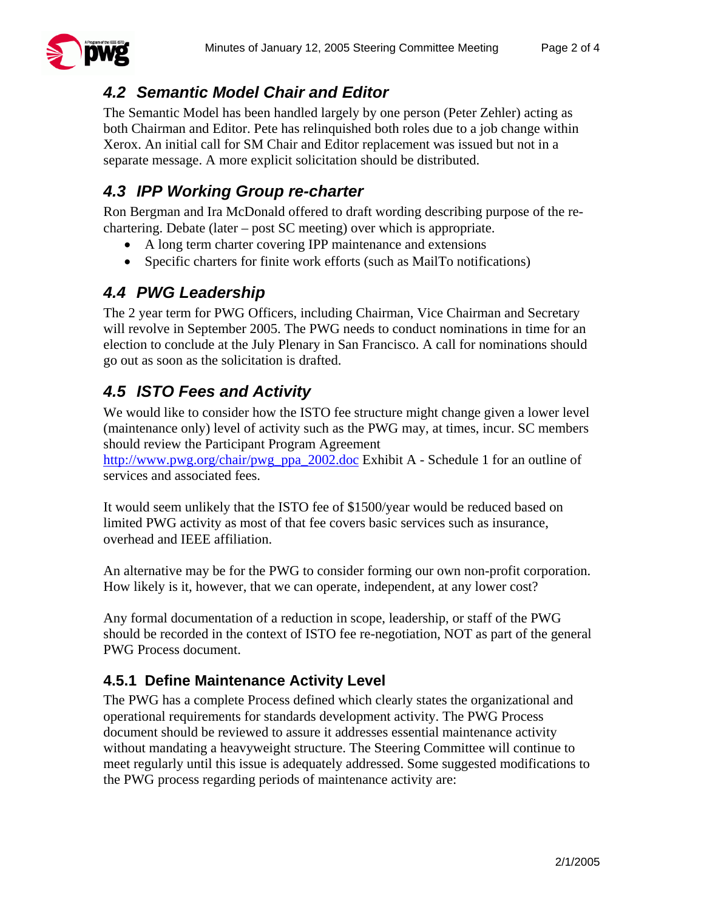

## *4.2 Semantic Model Chair and Editor*

The Semantic Model has been handled largely by one person (Peter Zehler) acting as both Chairman and Editor. Pete has relinquished both roles due to a job change within Xerox. An initial call for SM Chair and Editor replacement was issued but not in a separate message. A more explicit solicitation should be distributed.

## *4.3 IPP Working Group re-charter*

Ron Bergman and Ira McDonald offered to draft wording describing purpose of the rechartering. Debate (later – post SC meeting) over which is appropriate.

- A long term charter covering IPP maintenance and extensions
- Specific charters for finite work efforts (such as MailTo notifications)

## *4.4 PWG Leadership*

The 2 year term for PWG Officers, including Chairman, Vice Chairman and Secretary will revolve in September 2005. The PWG needs to conduct nominations in time for an election to conclude at the July Plenary in San Francisco. A call for nominations should go out as soon as the solicitation is drafted.

# *4.5 ISTO Fees and Activity*

We would like to consider how the ISTO fee structure might change given a lower level (maintenance only) level of activity such as the PWG may, at times, incur. SC members should review the Participant Program Agreement

[http://www.pwg.org/chair/pwg\\_ppa\\_2002.doc](http://www.pwg.org/chair/pwg_ppa_2002.doc) Exhibit A - Schedule 1 for an outline of services and associated fees.

It would seem unlikely that the ISTO fee of \$1500/year would be reduced based on limited PWG activity as most of that fee covers basic services such as insurance, overhead and IEEE affiliation.

An alternative may be for the PWG to consider forming our own non-profit corporation. How likely is it, however, that we can operate, independent, at any lower cost?

Any formal documentation of a reduction in scope, leadership, or staff of the PWG should be recorded in the context of ISTO fee re-negotiation, NOT as part of the general PWG Process document.

### **4.5.1 Define Maintenance Activity Level**

The PWG has a complete Process defined which clearly states the organizational and operational requirements for standards development activity. The PWG Process document should be reviewed to assure it addresses essential maintenance activity without mandating a heavyweight structure. The Steering Committee will continue to meet regularly until this issue is adequately addressed. Some suggested modifications to the PWG process regarding periods of maintenance activity are: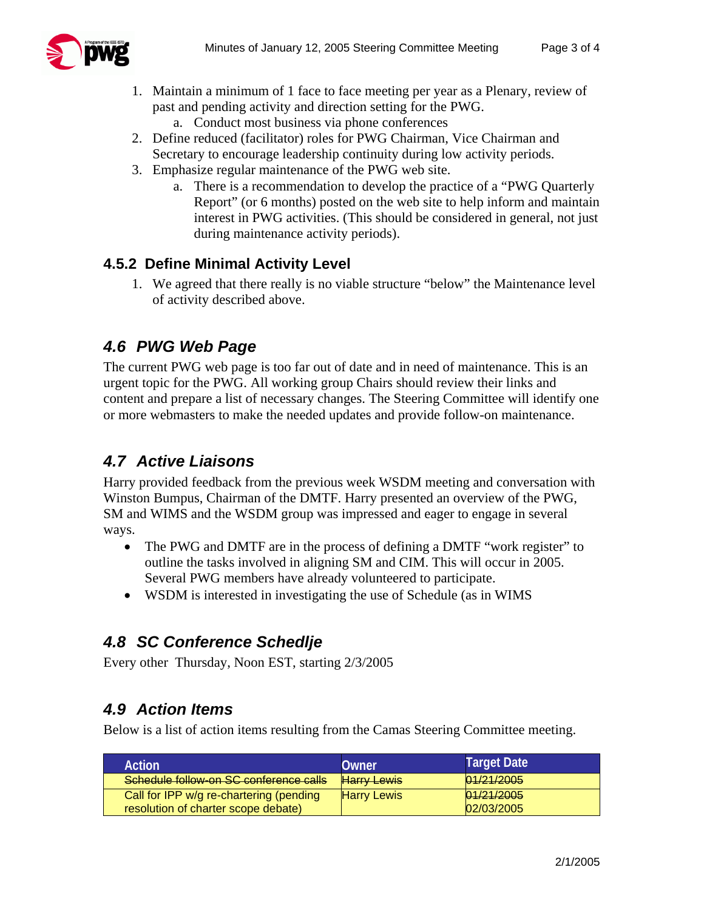

- 1. Maintain a minimum of 1 face to face meeting per year as a Plenary, review of past and pending activity and direction setting for the PWG.
	- a. Conduct most business via phone conferences
- 2. Define reduced (facilitator) roles for PWG Chairman, Vice Chairman and Secretary to encourage leadership continuity during low activity periods.
- 3. Emphasize regular maintenance of the PWG web site.
	- a. There is a recommendation to develop the practice of a "PWG Quarterly Report" (or 6 months) posted on the web site to help inform and maintain interest in PWG activities. (This should be considered in general, not just during maintenance activity periods).

#### **4.5.2 Define Minimal Activity Level**

1. We agreed that there really is no viable structure "below" the Maintenance level of activity described above.

### *4.6 PWG Web Page*

The current PWG web page is too far out of date and in need of maintenance. This is an urgent topic for the PWG. All working group Chairs should review their links and content and prepare a list of necessary changes. The Steering Committee will identify one or more webmasters to make the needed updates and provide follow-on maintenance.

## *4.7 Active Liaisons*

Harry provided feedback from the previous week WSDM meeting and conversation with Winston Bumpus, Chairman of the DMTF. Harry presented an overview of the PWG, SM and WIMS and the WSDM group was impressed and eager to engage in several ways.

- The PWG and DMTF are in the process of defining a DMTF "work register" to outline the tasks involved in aligning SM and CIM. This will occur in 2005. Several PWG members have already volunteered to participate.
- WSDM is interested in investigating the use of Schedule (as in WIMS

### *4.8 SC Conference Schedlje*

Every other Thursday, Noon EST, starting 2/3/2005

### *4.9 Action Items*

Below is a list of action items resulting from the Camas Steering Committee meeting.

| Action                                                                         | Owner              | Target Date                         |
|--------------------------------------------------------------------------------|--------------------|-------------------------------------|
| Schedule follow-on SC conference calls                                         | <b>Harry Lewis</b> | 01/21/2005<br><del>01/21/2000</del> |
| Call for IPP w/g re-chartering (pending<br>resolution of charter scope debate) | <b>Harry Lewis</b> | 01/21/2005<br>02/03/2005            |